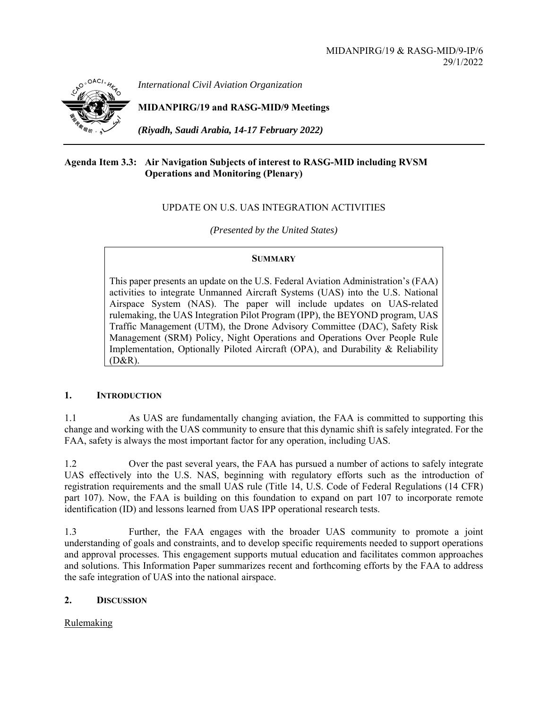

*International Civil Aviation Organization*

**MIDANPIRG/19 and RASG-MID/9 Meetings** 

*(Riyadh, Saudi Arabia, 14-17 February 2022)* 

# **Agenda Item 3.3: Air Navigation Subjects of interest to RASG-MID including RVSM Operations and Monitoring (Plenary)**

# UPDATE ON U.S. UAS INTEGRATION ACTIVITIES

*(Presented by the United States)* 

# **SUMMARY**

This paper presents an update on the U.S. Federal Aviation Administration's (FAA) activities to integrate Unmanned Aircraft Systems (UAS) into the U.S. National Airspace System (NAS). The paper will include updates on UAS-related rulemaking, the UAS Integration Pilot Program (IPP), the BEYOND program, UAS Traffic Management (UTM), the Drone Advisory Committee (DAC), Safety Risk Management (SRM) Policy, Night Operations and Operations Over People Rule Implementation, Optionally Piloted Aircraft (OPA), and Durability & Reliability (D&R).

# **1. INTRODUCTION**

1.1 As UAS are fundamentally changing aviation, the FAA is committed to supporting this change and working with the UAS community to ensure that this dynamic shift is safely integrated. For the FAA, safety is always the most important factor for any operation, including UAS.

1.2 Over the past several years, the FAA has pursued a number of actions to safely integrate UAS effectively into the U.S. NAS, beginning with regulatory efforts such as the introduction of registration requirements and the small UAS rule (Title 14, U.S. Code of Federal Regulations (14 CFR) part 107). Now, the FAA is building on this foundation to expand on part 107 to incorporate remote identification (ID) and lessons learned from UAS IPP operational research tests.

1.3 Further, the FAA engages with the broader UAS community to promote a joint understanding of goals and constraints, and to develop specific requirements needed to support operations and approval processes. This engagement supports mutual education and facilitates common approaches and solutions. This Information Paper summarizes recent and forthcoming efforts by the FAA to address the safe integration of UAS into the national airspace.

# **2. DISCUSSION**

Rulemaking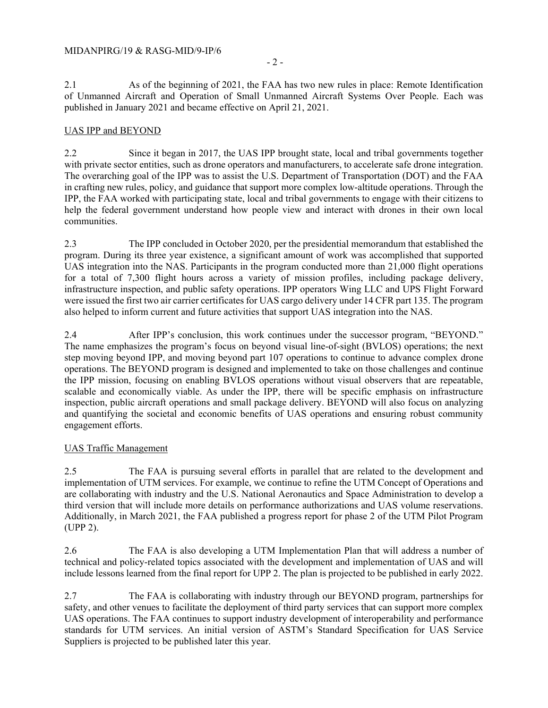2.1 As of the beginning of 2021, the FAA has two new rules in place: Remote Identification of Unmanned Aircraft and Operation of Small Unmanned Aircraft Systems Over People. Each was published in January 2021 and became effective on April 21, 2021.

### UAS IPP and BEYOND

2.2 Since it began in 2017, the UAS IPP brought state, local and tribal governments together with private sector entities, such as drone operators and manufacturers, to accelerate safe drone integration. The overarching goal of the IPP was to assist the U.S. Department of Transportation (DOT) and the FAA in crafting new rules, policy, and guidance that support more complex low-altitude operations. Through the IPP, the FAA worked with participating state, local and tribal governments to engage with their citizens to help the federal government understand how people view and interact with drones in their own local communities.

2.3 The IPP concluded in October 2020, per the presidential memorandum that established the program. During its three year existence, a significant amount of work was accomplished that supported UAS integration into the NAS. Participants in the program conducted more than 21,000 flight operations for a total of 7,300 flight hours across a variety of mission profiles, including package delivery, infrastructure inspection, and public safety operations. IPP operators Wing LLC and UPS Flight Forward were issued the first two air carrier certificates for UAS cargo delivery under 14 CFR part 135. The program also helped to inform current and future activities that support UAS integration into the NAS.

2.4 After IPP's conclusion, this work continues under the successor program, "BEYOND." The name emphasizes the program's focus on beyond visual line-of-sight (BVLOS) operations; the next step moving beyond IPP, and moving beyond part 107 operations to continue to advance complex drone operations. The BEYOND program is designed and implemented to take on those challenges and continue the IPP mission, focusing on enabling BVLOS operations without visual observers that are repeatable, scalable and economically viable. As under the IPP, there will be specific emphasis on infrastructure inspection, public aircraft operations and small package delivery. BEYOND will also focus on analyzing and quantifying the societal and economic benefits of UAS operations and ensuring robust community engagement efforts.

### UAS Traffic Management

2.5 The FAA is pursuing several efforts in parallel that are related to the development and implementation of UTM services. For example, we continue to refine the UTM Concept of Operations and are collaborating with industry and the U.S. National Aeronautics and Space Administration to develop a third version that will include more details on performance authorizations and UAS volume reservations. Additionally, in March 2021, the FAA published a progress report for phase 2 of the UTM Pilot Program (UPP 2).

2.6 The FAA is also developing a UTM Implementation Plan that will address a number of technical and policy-related topics associated with the development and implementation of UAS and will include lessons learned from the final report for UPP 2. The plan is projected to be published in early 2022.

2.7 The FAA is collaborating with industry through our BEYOND program, partnerships for safety, and other venues to facilitate the deployment of third party services that can support more complex UAS operations. The FAA continues to support industry development of interoperability and performance standards for UTM services. An initial version of ASTM's Standard Specification for UAS Service Suppliers is projected to be published later this year.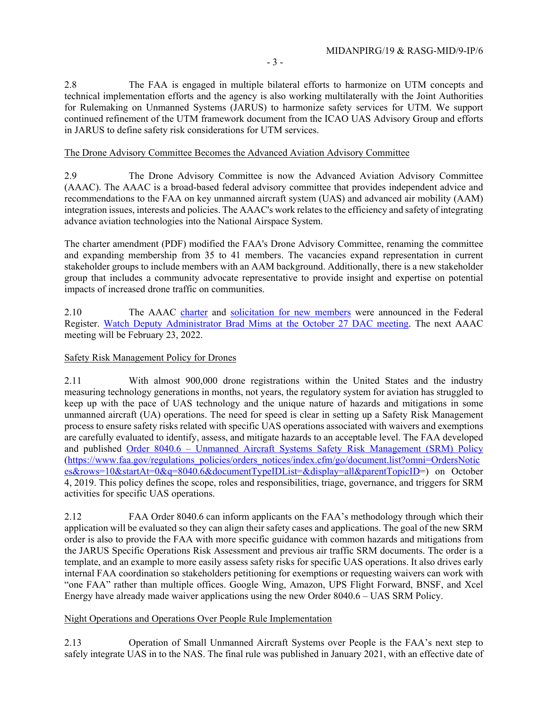2.8 The FAA is engaged in multiple bilateral efforts to harmonize on UTM concepts and technical implementation efforts and the agency is also working multilaterally with the Joint Authorities for Rulemaking on Unmanned Systems (JARUS) to harmonize safety services for UTM. We support continued refinement of the UTM framework document from the ICAO UAS Advisory Group and efforts in JARUS to define safety risk considerations for UTM services.

#### The Drone Advisory Committee Becomes the Advanced Aviation Advisory Committee

2.9 The Drone Advisory Committee is now the Advanced Aviation Advisory Committee (AAAC). The AAAC is a broad-based federal advisory committee that provides independent advice and recommendations to the FAA on key unmanned aircraft system (UAS) and advanced air mobility (AAM) integration issues, interests and policies. The AAAC's work relates to the efficiency and safety of integrating advance aviation technologies into the National Airspace System.

The charter amendment (PDF) modified the FAA's Drone Advisory Committee, renaming the committee and expanding membership from 35 to 41 members. The vacancies expand representation in current stakeholder groups to include members with an AAM background. Additionally, there is a new stakeholder group that includes a community advocate representative to provide insight and expertise on potential impacts of increased drone traffic on communities.

2.10 The AAAC charter and solicitation for new members were announced in the Federal Register. Watch Deputy Administrator Brad Mims at the October 27 DAC meeting. The next AAAC meeting will be February 23, 2022.

### Safety Risk Management Policy for Drones

2.11 With almost 900,000 drone registrations within the United States and the industry measuring technology generations in months, not years, the regulatory system for aviation has struggled to keep up with the pace of UAS technology and the unique nature of hazards and mitigations in some unmanned aircraft (UA) operations. The need for speed is clear in setting up a Safety Risk Management process to ensure safety risks related with specific UAS operations associated with waivers and exemptions are carefully evaluated to identify, assess, and mitigate hazards to an acceptable level. The FAA developed and published Order 8040.6 – Unmanned Aircraft Systems Safety Risk Management (SRM) Policy (https://www.faa.gov/regulations\_policies/orders\_notices/index.cfm/go/document.list?omni=OrdersNotic es&rows=10&startAt=0&q=8040.6&documentTypeIDList=&display=all&parentTopicID=) on October 4, 2019. This policy defines the scope, roles and responsibilities, triage, governance, and triggers for SRM activities for specific UAS operations.

2.12 FAA Order 8040.6 can inform applicants on the FAA's methodology through which their application will be evaluated so they can align their safety cases and applications. The goal of the new SRM order is also to provide the FAA with more specific guidance with common hazards and mitigations from the JARUS Specific Operations Risk Assessment and previous air traffic SRM documents. The order is a template, and an example to more easily assess safety risks for specific UAS operations. It also drives early internal FAA coordination so stakeholders petitioning for exemptions or requesting waivers can work with "one FAA" rather than multiple offices. Google Wing, Amazon, UPS Flight Forward, BNSF, and Xcel Energy have already made waiver applications using the new Order 8040.6 – UAS SRM Policy.

### Night Operations and Operations Over People Rule Implementation

2.13 Operation of Small Unmanned Aircraft Systems over People is the FAA's next step to safely integrate UAS in to the NAS. The final rule was published in January 2021, with an effective date of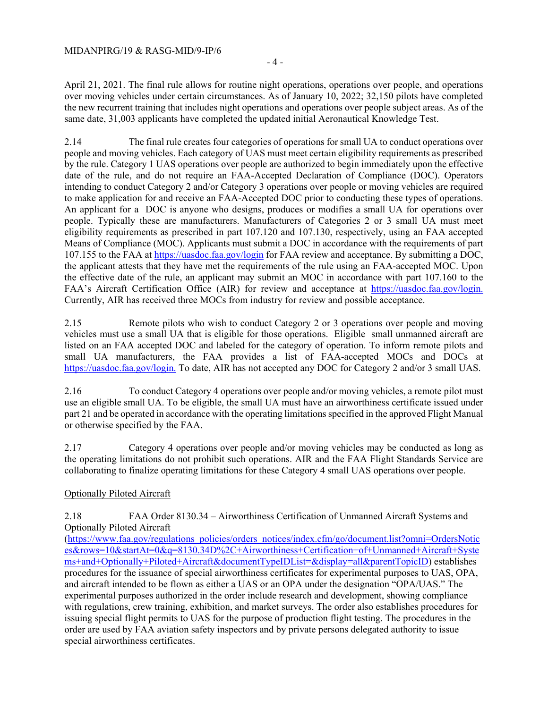#### MIDANPIRG/19 & RASG-MID/9-IP/6

April 21, 2021. The final rule allows for routine night operations, operations over people, and operations over moving vehicles under certain circumstances. As of January 10, 2022; 32,150 pilots have completed the new recurrent training that includes night operations and operations over people subject areas. As of the same date, 31,003 applicants have completed the updated initial Aeronautical Knowledge Test.

2.14 The final rule creates four categories of operations for small UA to conduct operations over people and moving vehicles. Each category of UAS must meet certain eligibility requirements as prescribed by the rule. Category 1 UAS operations over people are authorized to begin immediately upon the effective date of the rule, and do not require an FAA-Accepted Declaration of Compliance (DOC). Operators intending to conduct Category 2 and/or Category 3 operations over people or moving vehicles are required to make application for and receive an FAA-Accepted DOC prior to conducting these types of operations. An applicant for a DOC is anyone who designs, produces or modifies a small UA for operations over people. Typically these are manufacturers. Manufacturers of Categories 2 or 3 small UA must meet eligibility requirements as prescribed in part 107.120 and 107.130, respectively, using an FAA accepted Means of Compliance (MOC). Applicants must submit a DOC in accordance with the requirements of part 107.155 to the FAA at https://uasdoc.faa.gov/login for FAA review and acceptance. By submitting a DOC, the applicant attests that they have met the requirements of the rule using an FAA-accepted MOC. Upon the effective date of the rule, an applicant may submit an MOC in accordance with part 107.160 to the FAA's Aircraft Certification Office (AIR) for review and acceptance at https://uasdoc.faa.gov/login. Currently, AIR has received three MOCs from industry for review and possible acceptance.

2.15 Remote pilots who wish to conduct Category 2 or 3 operations over people and moving vehicles must use a small UA that is eligible for those operations. Eligible small unmanned aircraft are listed on an FAA accepted DOC and labeled for the category of operation. To inform remote pilots and small UA manufacturers, the FAA provides a list of FAA-accepted MOCs and DOCs at https://uasdoc.faa.gov/login. To date, AIR has not accepted any DOC for Category 2 and/or 3 small UAS.

2.16 To conduct Category 4 operations over people and/or moving vehicles, a remote pilot must use an eligible small UA. To be eligible, the small UA must have an airworthiness certificate issued under part 21 and be operated in accordance with the operating limitations specified in the approved Flight Manual or otherwise specified by the FAA.

2.17 Category 4 operations over people and/or moving vehicles may be conducted as long as the operating limitations do not prohibit such operations. AIR and the FAA Flight Standards Service are collaborating to finalize operating limitations for these Category 4 small UAS operations over people.

# Optionally Piloted Aircraft

2.18 FAA Order 8130.34 – Airworthiness Certification of Unmanned Aircraft Systems and Optionally Piloted Aircraft

(https://www.faa.gov/regulations\_policies/orders\_notices/index.cfm/go/document.list?omni=OrdersNotic es&rows=10&startAt=0&q=8130.34D%2C+Airworthiness+Certification+of+Unmanned+Aircraft+Syste ms+and+Optionally+Piloted+Aircraft&documentTypeIDList=&display=all&parentTopicID) establishes procedures for the issuance of special airworthiness certificates for experimental purposes to UAS, OPA, and aircraft intended to be flown as either a UAS or an OPA under the designation "OPA/UAS." The experimental purposes authorized in the order include research and development, showing compliance with regulations, crew training, exhibition, and market surveys. The order also establishes procedures for issuing special flight permits to UAS for the purpose of production flight testing. The procedures in the order are used by FAA aviation safety inspectors and by private persons delegated authority to issue special airworthiness certificates.